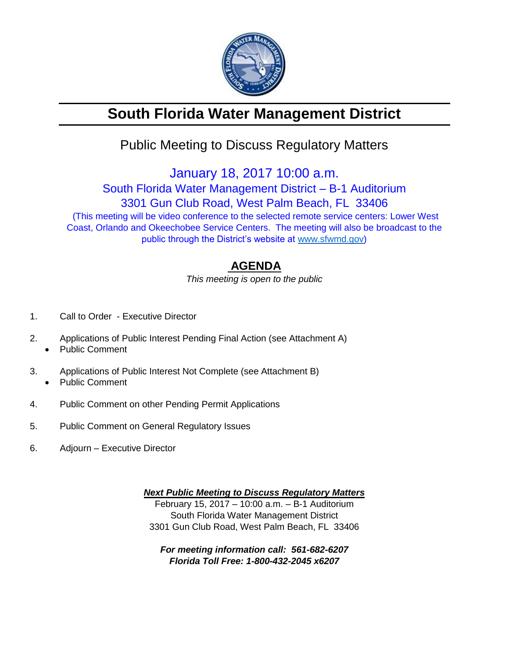

# **South Florida Water Management District**

## Public Meeting to Discuss Regulatory Matters

January 18, 2017 10:00 a.m.

South Florida Water Management District – B-1 Auditorium

3301 Gun Club Road, West Palm Beach, FL 33406

(This meeting will be video conference to the selected remote service centers: Lower West Coast, Orlando and Okeechobee Service Centers. The meeting will also be broadcast to the public through the District's website at [www.sfwmd.gov\)](http://www.sfwmd.gov/)

### **AGENDA**

*This meeting is open to the public*

- 1. Call to Order Executive Director
- 2. Applications of Public Interest Pending Final Action (see Attachment A)
	- Public Comment
- 3. Applications of Public Interest Not Complete (see Attachment B) Public Comment
- 4. Public Comment on other Pending Permit Applications
- 5. Public Comment on General Regulatory Issues
- 6. Adjourn Executive Director

*Next Public Meeting to Discuss Regulatory Matters*

February 15, 2017 – 10:00 a.m. – B-1 Auditorium South Florida Water Management District 3301 Gun Club Road, West Palm Beach, FL 33406

*For meeting information call: 561-682-6207 Florida Toll Free: 1-800-432-2045 x6207*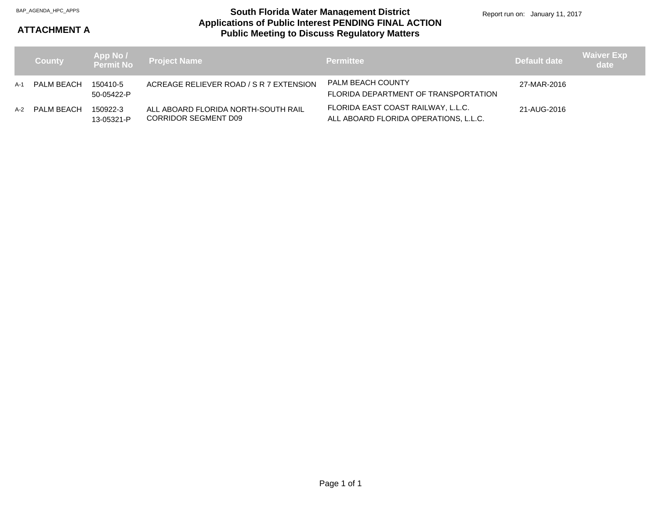#### **Applications of Public Interest PENDING FINAL ACTION Public Meeting to Discuss Regulatory Matters** BAP\_AGENDA\_HPC\_APPS **South Florida Water Management District**

Report run on: January 11, 2017

#### **ATTACHMENT A**

|     | <b>County</b>  |                        | App No /<br>Permit No  Project Name                                | <b>Permittee</b>                                                            | Default date | <b>Waiver Exp</b><br>date |
|-----|----------------|------------------------|--------------------------------------------------------------------|-----------------------------------------------------------------------------|--------------|---------------------------|
| A-1 | PALM BEACH     | 150410-5<br>50-05422-P | ACREAGE RELIEVER ROAD / S R 7 EXTENSION                            | PALM BEACH COUNTY<br>FLORIDA DEPARTMENT OF TRANSPORTATION                   | 27-MAR-2016  |                           |
|     | A-2 PALM BEACH | 150922-3<br>13-05321-P | ALL ABOARD FLORIDA NORTH-SOUTH RAIL<br><b>CORRIDOR SEGMENT D09</b> | FLORIDA EAST COAST RAILWAY, L.L.C.<br>ALL ABOARD FLORIDA OPERATIONS, L.L.C. | 21-AUG-2016  |                           |